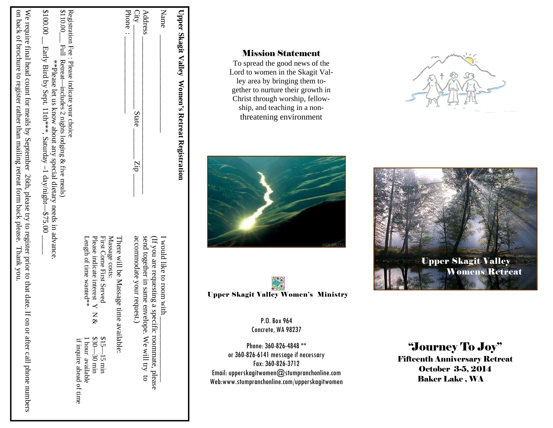| Upper Skagit Valley Women's Retreat Registration                                                                                                                                                   |                                                                                                      |                                            |
|----------------------------------------------------------------------------------------------------------------------------------------------------------------------------------------------------|------------------------------------------------------------------------------------------------------|--------------------------------------------|
| Name                                                                                                                                                                                               | I would like to room with _                                                                          |                                            |
| <b>Address</b>                                                                                                                                                                                     | send together in same envelope. We will try to<br>(If you are requesting a specific roommate, please |                                            |
| $City -$<br>State<br>dry                                                                                                                                                                           | accommodate your request                                                                             |                                            |
| Phone                                                                                                                                                                                              | There will be Massage time available:                                                                |                                            |
|                                                                                                                                                                                                    | Massage costs:                                                                                       |                                            |
|                                                                                                                                                                                                    | Please indicate interest Y N<br>First Come First Served<br>&                                         | $$30 - 30$ min<br>$$15 - 15$ min           |
|                                                                                                                                                                                                    | Length of time wanted**                                                                              | if inquire ahead of time<br>hour available |
| \$110.00 $\frac{1}{2}$ Full Retreat-includes 2 nights lodging & five meals)<br>Registration Fee : Please indicate your choice                                                                      |                                                                                                      |                                            |
| \$100.00 $\_\$ Early Bird by Sept. 11th***, Saturday -1 day/night-\$75.00<br>**Please let us know about any special dietary needs in advance.                                                      |                                                                                                      |                                            |
| on back of brochure to register rather than mailing retreat form back please. Thank you,<br>We require final head count for meals by September 26th, please try to register prior to that date. If |                                                                                                      | on or after call phone numbers             |
|                                                                                                                                                                                                    |                                                                                                      |                                            |

# Mission Statement

To spread the good news of the Lord to women in the Skagit Valley area by bringing them together to nurture their growth in Christ through worship, fellowship, and teaching in a nonthreatening environment





P.O. Box 964 Concrete, WA 98237

Phone: 360-826-4848 \*\* or 360-826-6141 message if necessary Fax: 360-826-3712 Email: upperskagitwomen@stumpranchonline.com Web:www.stumpranchonline.com/upperskagitwomen





"Journey To Joy" Fifteenth Anniversary Retreat October 3-5, 2014

Baker Lake , WA